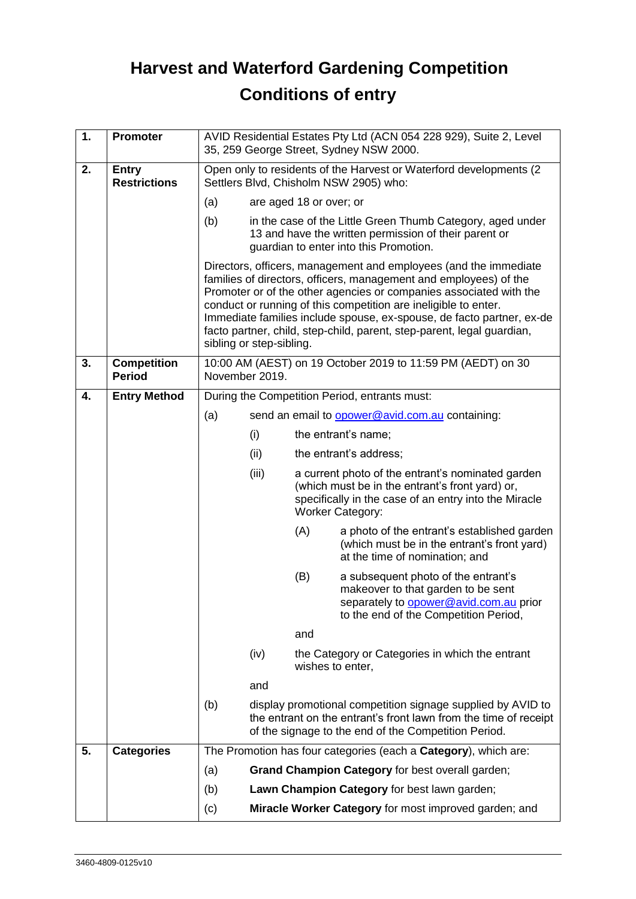## **Harvest and Waterford Gardening Competition Conditions of entry**

| 1. | <b>Promoter</b>                     | AVID Residential Estates Pty Ltd (ACN 054 228 929), Suite 2, Level<br>35, 259 George Street, Sydney NSW 2000.                                                        |                                                                                                                                                                                                                                                                                                                                                                                                                                                               |     |                                                                                                                                                                                          |
|----|-------------------------------------|----------------------------------------------------------------------------------------------------------------------------------------------------------------------|---------------------------------------------------------------------------------------------------------------------------------------------------------------------------------------------------------------------------------------------------------------------------------------------------------------------------------------------------------------------------------------------------------------------------------------------------------------|-----|------------------------------------------------------------------------------------------------------------------------------------------------------------------------------------------|
| 2. | <b>Entry</b><br><b>Restrictions</b> | Open only to residents of the Harvest or Waterford developments (2<br>Settlers Blvd, Chisholm NSW 2905) who:                                                         |                                                                                                                                                                                                                                                                                                                                                                                                                                                               |     |                                                                                                                                                                                          |
|    |                                     | (a)<br>are aged 18 or over; or                                                                                                                                       |                                                                                                                                                                                                                                                                                                                                                                                                                                                               |     |                                                                                                                                                                                          |
|    |                                     | (b)<br>in the case of the Little Green Thumb Category, aged under<br>13 and have the written permission of their parent or<br>guardian to enter into this Promotion. |                                                                                                                                                                                                                                                                                                                                                                                                                                                               |     |                                                                                                                                                                                          |
|    |                                     |                                                                                                                                                                      | Directors, officers, management and employees (and the immediate<br>families of directors, officers, management and employees) of the<br>Promoter or of the other agencies or companies associated with the<br>conduct or running of this competition are ineligible to enter.<br>Immediate families include spouse, ex-spouse, de facto partner, ex-de<br>facto partner, child, step-child, parent, step-parent, legal guardian,<br>sibling or step-sibling. |     |                                                                                                                                                                                          |
| 3. | <b>Competition</b><br><b>Period</b> | 10:00 AM (AEST) on 19 October 2019 to 11:59 PM (AEDT) on 30<br>November 2019.                                                                                        |                                                                                                                                                                                                                                                                                                                                                                                                                                                               |     |                                                                                                                                                                                          |
| 4. | <b>Entry Method</b>                 |                                                                                                                                                                      | During the Competition Period, entrants must:                                                                                                                                                                                                                                                                                                                                                                                                                 |     |                                                                                                                                                                                          |
|    |                                     | (a)                                                                                                                                                                  |                                                                                                                                                                                                                                                                                                                                                                                                                                                               |     | send an email to <b>opower@avid.com.au</b> containing:                                                                                                                                   |
|    |                                     |                                                                                                                                                                      | (i)                                                                                                                                                                                                                                                                                                                                                                                                                                                           |     | the entrant's name;                                                                                                                                                                      |
|    |                                     |                                                                                                                                                                      | (ii)                                                                                                                                                                                                                                                                                                                                                                                                                                                          |     | the entrant's address;                                                                                                                                                                   |
|    |                                     |                                                                                                                                                                      | (iii)                                                                                                                                                                                                                                                                                                                                                                                                                                                         |     | a current photo of the entrant's nominated garden<br>(which must be in the entrant's front yard) or,<br>specifically in the case of an entry into the Miracle<br><b>Worker Category:</b> |
|    |                                     |                                                                                                                                                                      |                                                                                                                                                                                                                                                                                                                                                                                                                                                               | (A) | a photo of the entrant's established garden<br>(which must be in the entrant's front yard)<br>at the time of nomination; and                                                             |
|    |                                     |                                                                                                                                                                      |                                                                                                                                                                                                                                                                                                                                                                                                                                                               | (B) | a subsequent photo of the entrant's<br>makeover to that garden to be sent<br>separately to opower@avid.com.au prior<br>to the end of the Competition Period,                             |
|    |                                     |                                                                                                                                                                      |                                                                                                                                                                                                                                                                                                                                                                                                                                                               | and |                                                                                                                                                                                          |
|    |                                     |                                                                                                                                                                      | (iv)                                                                                                                                                                                                                                                                                                                                                                                                                                                          |     | the Category or Categories in which the entrant<br>wishes to enter,                                                                                                                      |
|    |                                     |                                                                                                                                                                      | and                                                                                                                                                                                                                                                                                                                                                                                                                                                           |     |                                                                                                                                                                                          |
|    |                                     | (b)                                                                                                                                                                  |                                                                                                                                                                                                                                                                                                                                                                                                                                                               |     | display promotional competition signage supplied by AVID to<br>the entrant on the entrant's front lawn from the time of receipt<br>of the signage to the end of the Competition Period.  |
| 5. | <b>Categories</b>                   |                                                                                                                                                                      |                                                                                                                                                                                                                                                                                                                                                                                                                                                               |     | The Promotion has four categories (each a <b>Category</b> ), which are:                                                                                                                  |
|    |                                     | (a)                                                                                                                                                                  |                                                                                                                                                                                                                                                                                                                                                                                                                                                               |     | Grand Champion Category for best overall garden;                                                                                                                                         |
|    |                                     | (b)                                                                                                                                                                  | Lawn Champion Category for best lawn garden;                                                                                                                                                                                                                                                                                                                                                                                                                  |     |                                                                                                                                                                                          |
|    |                                     | (c)                                                                                                                                                                  |                                                                                                                                                                                                                                                                                                                                                                                                                                                               |     | Miracle Worker Category for most improved garden; and                                                                                                                                    |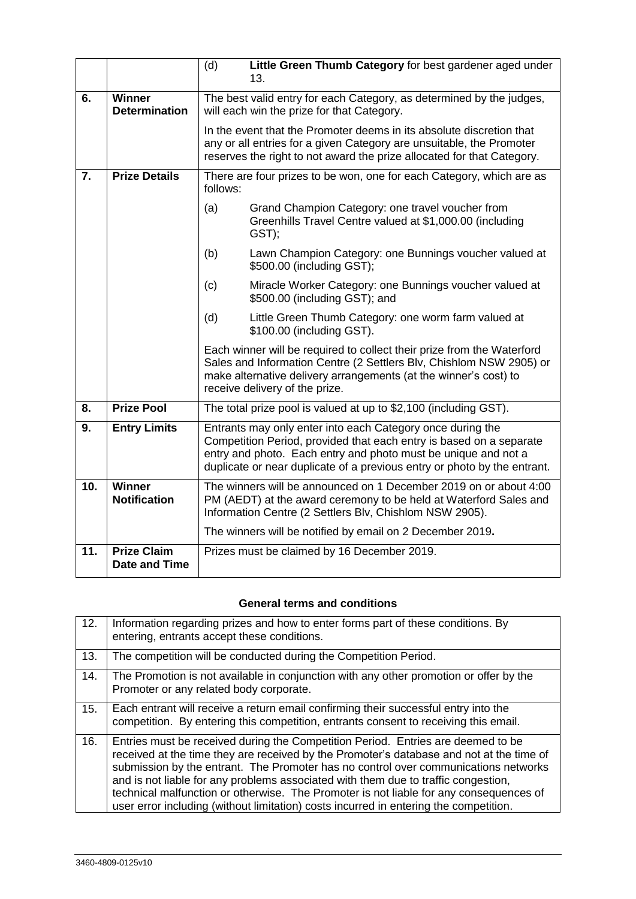|     |                                            | (d)                                                                                                                | Little Green Thumb Category for best gardener aged under<br>13.                                                                                                                                                                                                                 |
|-----|--------------------------------------------|--------------------------------------------------------------------------------------------------------------------|---------------------------------------------------------------------------------------------------------------------------------------------------------------------------------------------------------------------------------------------------------------------------------|
| 6.  | <b>Winner</b><br><b>Determination</b>      | The best valid entry for each Category, as determined by the judges,<br>will each win the prize for that Category. |                                                                                                                                                                                                                                                                                 |
|     |                                            |                                                                                                                    | In the event that the Promoter deems in its absolute discretion that<br>any or all entries for a given Category are unsuitable, the Promoter<br>reserves the right to not award the prize allocated for that Category.                                                          |
| 7.  | <b>Prize Details</b>                       | There are four prizes to be won, one for each Category, which are as<br>follows:                                   |                                                                                                                                                                                                                                                                                 |
|     |                                            | (a)                                                                                                                | Grand Champion Category: one travel voucher from<br>Greenhills Travel Centre valued at \$1,000.00 (including<br>GST);                                                                                                                                                           |
|     |                                            | (b)                                                                                                                | Lawn Champion Category: one Bunnings voucher valued at<br>\$500.00 (including GST);                                                                                                                                                                                             |
|     |                                            | (c)                                                                                                                | Miracle Worker Category: one Bunnings voucher valued at<br>\$500.00 (including GST); and                                                                                                                                                                                        |
|     |                                            | (d)                                                                                                                | Little Green Thumb Category: one worm farm valued at<br>\$100.00 (including GST).                                                                                                                                                                                               |
|     |                                            |                                                                                                                    | Each winner will be required to collect their prize from the Waterford<br>Sales and Information Centre (2 Settlers Blv, Chishlom NSW 2905) or<br>make alternative delivery arrangements (at the winner's cost) to<br>receive delivery of the prize.                             |
| 8.  | <b>Prize Pool</b>                          |                                                                                                                    | The total prize pool is valued at up to \$2,100 (including GST).                                                                                                                                                                                                                |
| 9.  | <b>Entry Limits</b>                        |                                                                                                                    | Entrants may only enter into each Category once during the<br>Competition Period, provided that each entry is based on a separate<br>entry and photo. Each entry and photo must be unique and not a<br>duplicate or near duplicate of a previous entry or photo by the entrant. |
| 10. | Winner<br><b>Notification</b>              |                                                                                                                    | The winners will be announced on 1 December 2019 on or about 4:00<br>PM (AEDT) at the award ceremony to be held at Waterford Sales and                                                                                                                                          |
|     |                                            |                                                                                                                    | Information Centre (2 Settlers Blv, Chishlom NSW 2905).                                                                                                                                                                                                                         |
|     |                                            |                                                                                                                    | The winners will be notified by email on 2 December 2019.                                                                                                                                                                                                                       |
| 11. | <b>Prize Claim</b><br><b>Date and Time</b> |                                                                                                                    | Prizes must be claimed by 16 December 2019.                                                                                                                                                                                                                                     |

## **General terms and conditions**

| 12. | Information regarding prizes and how to enter forms part of these conditions. By<br>entering, entrants accept these conditions.                                                                                                                                                                                                                                                                                                                                                                                                              |
|-----|----------------------------------------------------------------------------------------------------------------------------------------------------------------------------------------------------------------------------------------------------------------------------------------------------------------------------------------------------------------------------------------------------------------------------------------------------------------------------------------------------------------------------------------------|
| 13. | The competition will be conducted during the Competition Period.                                                                                                                                                                                                                                                                                                                                                                                                                                                                             |
| 14. | The Promotion is not available in conjunction with any other promotion or offer by the<br>Promoter or any related body corporate.                                                                                                                                                                                                                                                                                                                                                                                                            |
| 15. | Each entrant will receive a return email confirming their successful entry into the<br>competition. By entering this competition, entrants consent to receiving this email.                                                                                                                                                                                                                                                                                                                                                                  |
| 16. | Entries must be received during the Competition Period. Entries are deemed to be<br>received at the time they are received by the Promoter's database and not at the time of<br>submission by the entrant. The Promoter has no control over communications networks<br>and is not liable for any problems associated with them due to traffic congestion,<br>technical malfunction or otherwise. The Promoter is not liable for any consequences of<br>user error including (without limitation) costs incurred in entering the competition. |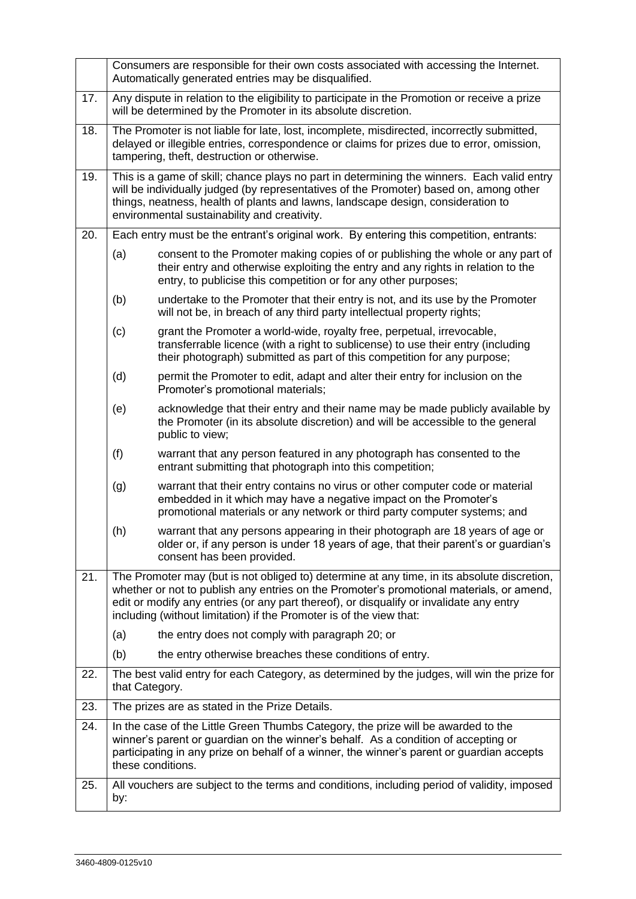<span id="page-2-0"></span>

|     | Consumers are responsible for their own costs associated with accessing the Internet.<br>Automatically generated entries may be disqualified.                                                                                                                                                                                                             |                                                                                                                                                                                                                                        |  |  |
|-----|-----------------------------------------------------------------------------------------------------------------------------------------------------------------------------------------------------------------------------------------------------------------------------------------------------------------------------------------------------------|----------------------------------------------------------------------------------------------------------------------------------------------------------------------------------------------------------------------------------------|--|--|
| 17. | Any dispute in relation to the eligibility to participate in the Promotion or receive a prize<br>will be determined by the Promoter in its absolute discretion.                                                                                                                                                                                           |                                                                                                                                                                                                                                        |  |  |
| 18. | The Promoter is not liable for late, lost, incomplete, misdirected, incorrectly submitted,<br>delayed or illegible entries, correspondence or claims for prizes due to error, omission,<br>tampering, theft, destruction or otherwise.                                                                                                                    |                                                                                                                                                                                                                                        |  |  |
| 19. | This is a game of skill; chance plays no part in determining the winners. Each valid entry<br>will be individually judged (by representatives of the Promoter) based on, among other<br>things, neatness, health of plants and lawns, landscape design, consideration to<br>environmental sustainability and creativity.                                  |                                                                                                                                                                                                                                        |  |  |
| 20. | Each entry must be the entrant's original work. By entering this competition, entrants:                                                                                                                                                                                                                                                                   |                                                                                                                                                                                                                                        |  |  |
|     | (a)                                                                                                                                                                                                                                                                                                                                                       | consent to the Promoter making copies of or publishing the whole or any part of<br>their entry and otherwise exploiting the entry and any rights in relation to the<br>entry, to publicise this competition or for any other purposes; |  |  |
|     | (b)                                                                                                                                                                                                                                                                                                                                                       | undertake to the Promoter that their entry is not, and its use by the Promoter<br>will not be, in breach of any third party intellectual property rights;                                                                              |  |  |
|     | (c)                                                                                                                                                                                                                                                                                                                                                       | grant the Promoter a world-wide, royalty free, perpetual, irrevocable,<br>transferrable licence (with a right to sublicense) to use their entry (including<br>their photograph) submitted as part of this competition for any purpose; |  |  |
|     | (d)                                                                                                                                                                                                                                                                                                                                                       | permit the Promoter to edit, adapt and alter their entry for inclusion on the<br>Promoter's promotional materials;                                                                                                                     |  |  |
|     | (e)                                                                                                                                                                                                                                                                                                                                                       | acknowledge that their entry and their name may be made publicly available by<br>the Promoter (in its absolute discretion) and will be accessible to the general<br>public to view;                                                    |  |  |
|     | (f)                                                                                                                                                                                                                                                                                                                                                       | warrant that any person featured in any photograph has consented to the<br>entrant submitting that photograph into this competition;                                                                                                   |  |  |
|     | (g)                                                                                                                                                                                                                                                                                                                                                       | warrant that their entry contains no virus or other computer code or material<br>embedded in it which may have a negative impact on the Promoter's<br>promotional materials or any network or third party computer systems; and        |  |  |
|     | (h)                                                                                                                                                                                                                                                                                                                                                       | warrant that any persons appearing in their photograph are 18 years of age or<br>older or, if any person is under 18 years of age, that their parent's or guardian's<br>consent has been provided.                                     |  |  |
| 21. | The Promoter may (but is not obliged to) determine at any time, in its absolute discretion,<br>whether or not to publish any entries on the Promoter's promotional materials, or amend,<br>edit or modify any entries (or any part thereof), or disqualify or invalidate any entry<br>including (without limitation) if the Promoter is of the view that: |                                                                                                                                                                                                                                        |  |  |
|     | (a)                                                                                                                                                                                                                                                                                                                                                       | the entry does not comply with paragraph 20; or                                                                                                                                                                                        |  |  |
|     | (b)                                                                                                                                                                                                                                                                                                                                                       | the entry otherwise breaches these conditions of entry.                                                                                                                                                                                |  |  |
| 22. | The best valid entry for each Category, as determined by the judges, will win the prize for<br>that Category.                                                                                                                                                                                                                                             |                                                                                                                                                                                                                                        |  |  |
| 23. | The prizes are as stated in the Prize Details.                                                                                                                                                                                                                                                                                                            |                                                                                                                                                                                                                                        |  |  |
| 24. | In the case of the Little Green Thumbs Category, the prize will be awarded to the<br>winner's parent or guardian on the winner's behalf. As a condition of accepting or<br>participating in any prize on behalf of a winner, the winner's parent or guardian accepts<br>these conditions.                                                                 |                                                                                                                                                                                                                                        |  |  |
| 25. | All vouchers are subject to the terms and conditions, including period of validity, imposed<br>by:                                                                                                                                                                                                                                                        |                                                                                                                                                                                                                                        |  |  |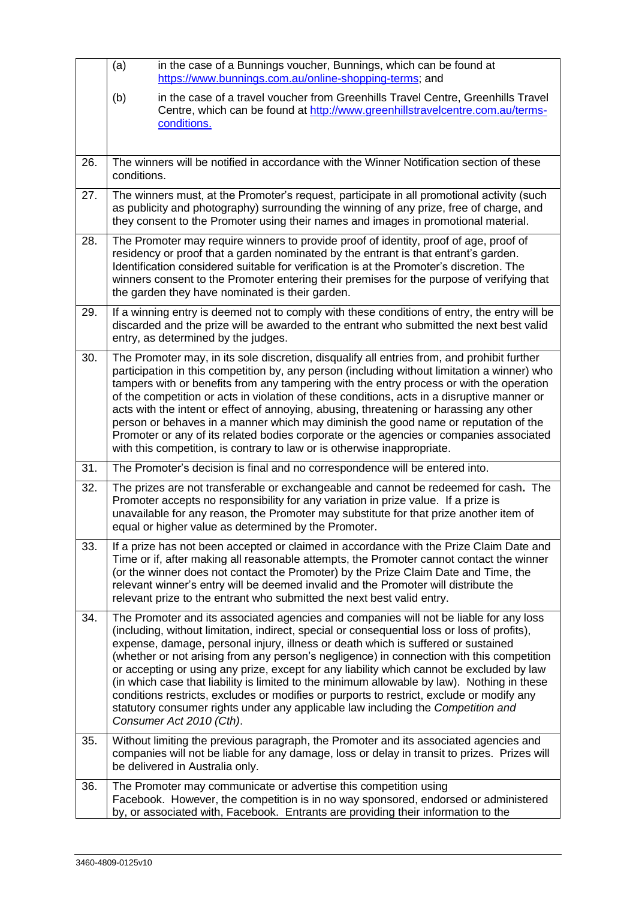|     | in the case of a Bunnings voucher, Bunnings, which can be found at<br>(a)<br>https://www.bunnings.com.au/online-shopping-terms; and                                                                                                                                                                                                                                                                                                                                                                                                                                                                                                                                                                                                                                               |
|-----|-----------------------------------------------------------------------------------------------------------------------------------------------------------------------------------------------------------------------------------------------------------------------------------------------------------------------------------------------------------------------------------------------------------------------------------------------------------------------------------------------------------------------------------------------------------------------------------------------------------------------------------------------------------------------------------------------------------------------------------------------------------------------------------|
|     | (b)<br>in the case of a travel voucher from Greenhills Travel Centre, Greenhills Travel<br>Centre, which can be found at http://www.greenhillstravelcentre.com.au/terms-<br>conditions.                                                                                                                                                                                                                                                                                                                                                                                                                                                                                                                                                                                           |
| 26. | The winners will be notified in accordance with the Winner Notification section of these<br>conditions.                                                                                                                                                                                                                                                                                                                                                                                                                                                                                                                                                                                                                                                                           |
| 27. | The winners must, at the Promoter's request, participate in all promotional activity (such<br>as publicity and photography) surrounding the winning of any prize, free of charge, and<br>they consent to the Promoter using their names and images in promotional material.                                                                                                                                                                                                                                                                                                                                                                                                                                                                                                       |
| 28. | The Promoter may require winners to provide proof of identity, proof of age, proof of<br>residency or proof that a garden nominated by the entrant is that entrant's garden.<br>Identification considered suitable for verification is at the Promoter's discretion. The<br>winners consent to the Promoter entering their premises for the purpose of verifying that<br>the garden they have nominated is their garden.                                                                                                                                                                                                                                                                                                                                                          |
| 29. | If a winning entry is deemed not to comply with these conditions of entry, the entry will be<br>discarded and the prize will be awarded to the entrant who submitted the next best valid<br>entry, as determined by the judges.                                                                                                                                                                                                                                                                                                                                                                                                                                                                                                                                                   |
| 30. | The Promoter may, in its sole discretion, disqualify all entries from, and prohibit further<br>participation in this competition by, any person (including without limitation a winner) who<br>tampers with or benefits from any tampering with the entry process or with the operation<br>of the competition or acts in violation of these conditions, acts in a disruptive manner or<br>acts with the intent or effect of annoying, abusing, threatening or harassing any other<br>person or behaves in a manner which may diminish the good name or reputation of the<br>Promoter or any of its related bodies corporate or the agencies or companies associated<br>with this competition, is contrary to law or is otherwise inappropriate.                                   |
| 31. | The Promoter's decision is final and no correspondence will be entered into.                                                                                                                                                                                                                                                                                                                                                                                                                                                                                                                                                                                                                                                                                                      |
| 32. | The prizes are not transferable or exchangeable and cannot be redeemed for cash. The<br>Promoter accepts no responsibility for any variation in prize value. If a prize is<br>unavailable for any reason, the Promoter may substitute for that prize another item of<br>equal or higher value as determined by the Promoter.                                                                                                                                                                                                                                                                                                                                                                                                                                                      |
| 33. | If a prize has not been accepted or claimed in accordance with the Prize Claim Date and<br>Time or if, after making all reasonable attempts, the Promoter cannot contact the winner<br>(or the winner does not contact the Promoter) by the Prize Claim Date and Time, the<br>relevant winner's entry will be deemed invalid and the Promoter will distribute the<br>relevant prize to the entrant who submitted the next best valid entry.                                                                                                                                                                                                                                                                                                                                       |
| 34. | The Promoter and its associated agencies and companies will not be liable for any loss<br>(including, without limitation, indirect, special or consequential loss or loss of profits),<br>expense, damage, personal injury, illness or death which is suffered or sustained<br>(whether or not arising from any person's negligence) in connection with this competition<br>or accepting or using any prize, except for any liability which cannot be excluded by law<br>(in which case that liability is limited to the minimum allowable by law). Nothing in these<br>conditions restricts, excludes or modifies or purports to restrict, exclude or modify any<br>statutory consumer rights under any applicable law including the Competition and<br>Consumer Act 2010 (Cth). |
| 35. | Without limiting the previous paragraph, the Promoter and its associated agencies and<br>companies will not be liable for any damage, loss or delay in transit to prizes. Prizes will<br>be delivered in Australia only.                                                                                                                                                                                                                                                                                                                                                                                                                                                                                                                                                          |
| 36. | The Promoter may communicate or advertise this competition using<br>Facebook. However, the competition is in no way sponsored, endorsed or administered<br>by, or associated with, Facebook. Entrants are providing their information to the                                                                                                                                                                                                                                                                                                                                                                                                                                                                                                                                      |